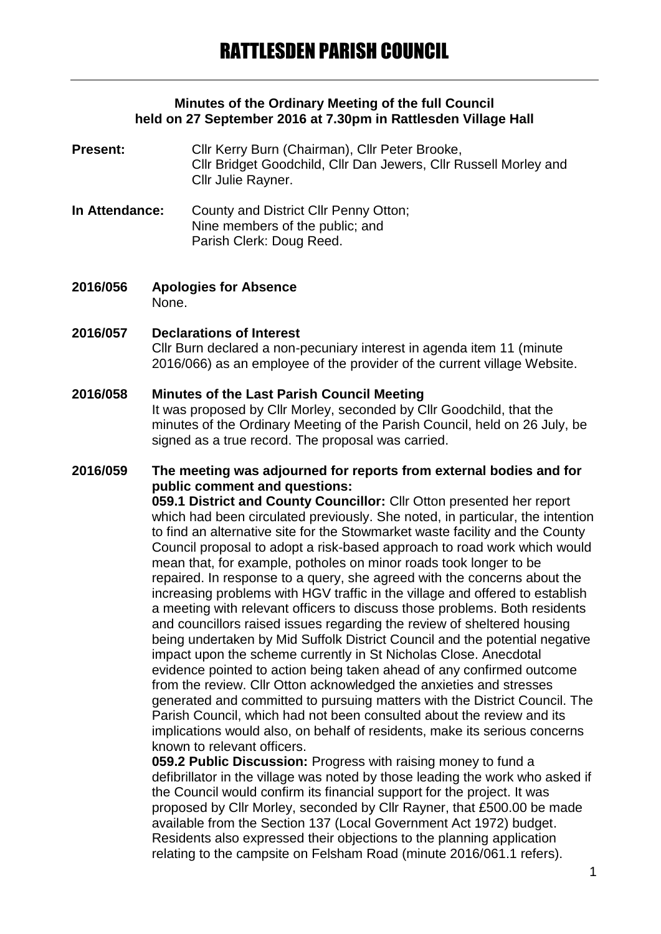#### **Minutes of the Ordinary Meeting of the full Council held on 27 September 2016 at 7.30pm in Rattlesden Village Hall**

#### **Present:** Cllr Kerry Burn (Chairman), Cllr Peter Brooke, Cllr Bridget Goodchild, Cllr Dan Jewers, Cllr Russell Morley and Cllr Julie Rayner.

- **In Attendance:** County and District Cllr Penny Otton; Nine members of the public; and Parish Clerk: Doug Reed.
- **2016/056 Apologies for Absence** None.

#### **2016/057 Declarations of Interest** Cllr Burn declared a non-pecuniary interest in agenda item 11 (minute 2016/066) as an employee of the provider of the current village Website.

## **2016/058 Minutes of the Last Parish Council Meeting**

It was proposed by Cllr Morley, seconded by Cllr Goodchild, that the minutes of the Ordinary Meeting of the Parish Council, held on 26 July, be signed as a true record. The proposal was carried.

## **2016/059 The meeting was adjourned for reports from external bodies and for public comment and questions:**

**059.1 District and County Councillor:** Cllr Otton presented her report which had been circulated previously. She noted, in particular, the intention to find an alternative site for the Stowmarket waste facility and the County Council proposal to adopt a risk-based approach to road work which would mean that, for example, potholes on minor roads took longer to be repaired. In response to a query, she agreed with the concerns about the increasing problems with HGV traffic in the village and offered to establish a meeting with relevant officers to discuss those problems. Both residents and councillors raised issues regarding the review of sheltered housing being undertaken by Mid Suffolk District Council and the potential negative impact upon the scheme currently in St Nicholas Close. Anecdotal evidence pointed to action being taken ahead of any confirmed outcome from the review. Cllr Otton acknowledged the anxieties and stresses generated and committed to pursuing matters with the District Council. The Parish Council, which had not been consulted about the review and its implications would also, on behalf of residents, make its serious concerns known to relevant officers.

**059.2 Public Discussion:** Progress with raising money to fund a defibrillator in the village was noted by those leading the work who asked if the Council would confirm its financial support for the project. It was proposed by Cllr Morley, seconded by Cllr Rayner, that £500.00 be made available from the Section 137 (Local Government Act 1972) budget. Residents also expressed their objections to the planning application relating to the campsite on Felsham Road (minute 2016/061.1 refers).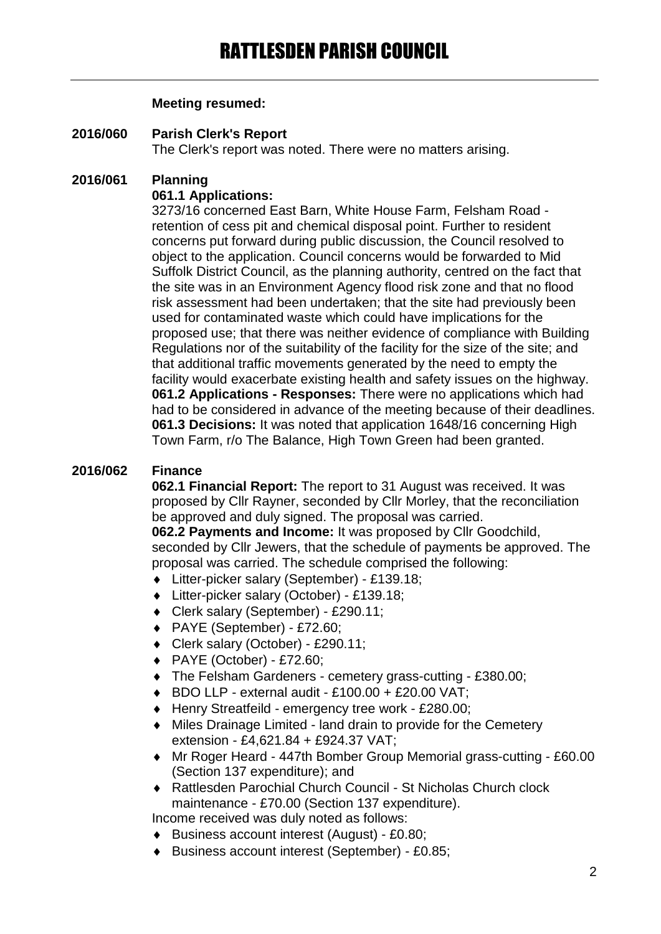#### **Meeting resumed:**

**2016/060 Parish Clerk's Report** The Clerk's report was noted. There were no matters arising.

# **2016/061 Planning**

### **061.1 Applications:**

3273/16 concerned East Barn, White House Farm, Felsham Road retention of cess pit and chemical disposal point. Further to resident concerns put forward during public discussion, the Council resolved to object to the application. Council concerns would be forwarded to Mid Suffolk District Council, as the planning authority, centred on the fact that the site was in an Environment Agency flood risk zone and that no flood risk assessment had been undertaken; that the site had previously been used for contaminated waste which could have implications for the proposed use; that there was neither evidence of compliance with Building Regulations nor of the suitability of the facility for the size of the site; and that additional traffic movements generated by the need to empty the facility would exacerbate existing health and safety issues on the highway. **061.2 Applications - Responses:** There were no applications which had had to be considered in advance of the meeting because of their deadlines. **061.3 Decisions:** It was noted that application 1648/16 concerning High Town Farm, r/o The Balance, High Town Green had been granted.

## **2016/062 Finance**

**062.1 Financial Report:** The report to 31 August was received. It was proposed by Cllr Rayner, seconded by Cllr Morley, that the reconciliation be approved and duly signed. The proposal was carried.

**062.2 Payments and Income:** It was proposed by Cllr Goodchild, seconded by Cllr Jewers, that the schedule of payments be approved. The proposal was carried. The schedule comprised the following:

- Litter-picker salary (September) £139.18;
- Litter-picker salary (October) £139.18;
- Clerk salary (September) £290.11;
- PAYE (September) £72.60;
- Clerk salary (October) £290.11;
- PAYE (October) £72.60;
- The Felsham Gardeners cemetery grass-cutting £380.00;
- $\bullet$  BDO LLP external audit £100.00 + £20.00 VAT;
- ◆ Henry Streatfeild emergency tree work £280.00;
- Miles Drainage Limited land drain to provide for the Cemetery extension - £4,621.84 + £924.37 VAT;
- Mr Roger Heard 447th Bomber Group Memorial grass-cutting £60.00 (Section 137 expenditure); and
- Rattlesden Parochial Church Council St Nicholas Church clock maintenance - £70.00 (Section 137 expenditure).

Income received was duly noted as follows:

- Business account interest (August) £0.80;
- Business account interest (September) £0.85;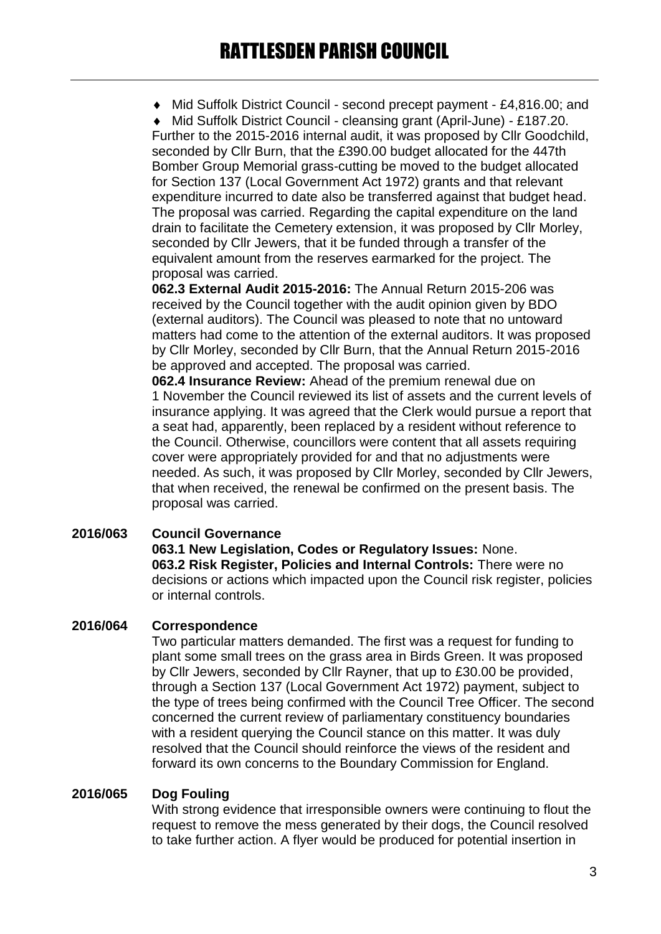Mid Suffolk District Council - second precept payment - £4,816.00; and

 Mid Suffolk District Council - cleansing grant (April-June) - £187.20. Further to the 2015-2016 internal audit, it was proposed by Cllr Goodchild, seconded by Cllr Burn, that the £390.00 budget allocated for the 447th Bomber Group Memorial grass-cutting be moved to the budget allocated for Section 137 (Local Government Act 1972) grants and that relevant expenditure incurred to date also be transferred against that budget head. The proposal was carried. Regarding the capital expenditure on the land drain to facilitate the Cemetery extension, it was proposed by Cllr Morley, seconded by Cllr Jewers, that it be funded through a transfer of the equivalent amount from the reserves earmarked for the project. The proposal was carried.

**062.3 External Audit 2015-2016:** The Annual Return 2015-206 was received by the Council together with the audit opinion given by BDO (external auditors). The Council was pleased to note that no untoward matters had come to the attention of the external auditors. It was proposed by Cllr Morley, seconded by Cllr Burn, that the Annual Return 2015-2016 be approved and accepted. The proposal was carried.

**062.4 Insurance Review:** Ahead of the premium renewal due on 1 November the Council reviewed its list of assets and the current levels of insurance applying. It was agreed that the Clerk would pursue a report that a seat had, apparently, been replaced by a resident without reference to the Council. Otherwise, councillors were content that all assets requiring cover were appropriately provided for and that no adjustments were needed. As such, it was proposed by Cllr Morley, seconded by Cllr Jewers, that when received, the renewal be confirmed on the present basis. The proposal was carried.

## **2016/063 Council Governance**

**063.1 New Legislation, Codes or Regulatory Issues:** None. **063.2 Risk Register, Policies and Internal Controls:** There were no decisions or actions which impacted upon the Council risk register, policies or internal controls.

## **2016/064 Correspondence**

Two particular matters demanded. The first was a request for funding to plant some small trees on the grass area in Birds Green. It was proposed by Cllr Jewers, seconded by Cllr Rayner, that up to £30.00 be provided, through a Section 137 (Local Government Act 1972) payment, subject to the type of trees being confirmed with the Council Tree Officer. The second concerned the current review of parliamentary constituency boundaries with a resident querying the Council stance on this matter. It was duly resolved that the Council should reinforce the views of the resident and forward its own concerns to the Boundary Commission for England.

#### **2016/065 Dog Fouling**

With strong evidence that irresponsible owners were continuing to flout the request to remove the mess generated by their dogs, the Council resolved to take further action. A flyer would be produced for potential insertion in